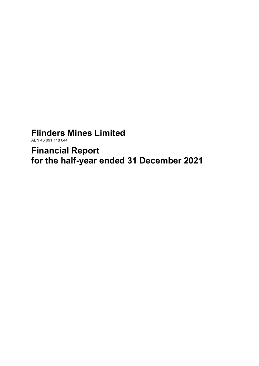# **Flinders Mines Limited**

ABN 46 091 118 044

**Financial Report for the half-year ended 31 December 2021**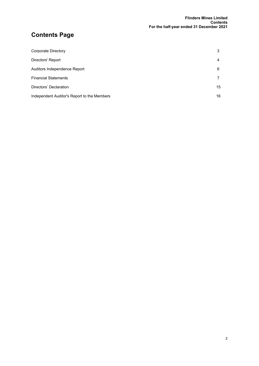# **Contents Page**

| Corporate Directory                         | 3  |
|---------------------------------------------|----|
| Directors' Report                           | 4  |
| Auditors Independence Report                | 6  |
| <b>Financial Statements</b>                 |    |
| Directors' Declaration                      | 15 |
| Independent Auditor's Report to the Members | 16 |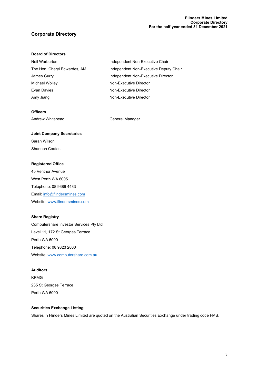#### **Flinders Mines Limited Corporate Directory For the half-year ended 31 December 2021**

### **Corporate Directory**

#### **Board of Directors**

| Independent Non-Executive Chair        |
|----------------------------------------|
| Independent Non-Executive Deputy Chair |
| Independent Non-Executive Director     |
| Non-Executive Director                 |
| Non-Executive Director                 |
| Non-Executive Director                 |
|                                        |

#### **Officers**

Andrew Whitehead General Manager

# **Joint Company Secretaries** Sarah Wilson

Shannon Coates

#### **Registered Office**

45 Ventnor Avenue West Perth WA 6005 Telephone: 08 9389 4483 Email[: info@flindersmines.com](mailto:info@flindersmines.com) Website[: www.flindersmines.com](http://www.flindersmines.com/)

#### **Share Registry**

Computershare Investor Services Pty Ltd Level 11, 172 St Georges Terrace Perth WA 6000 Telephone: 08 9323 2000 Website[: www.computershare.com.au](http://www.computershare.com.au/)

#### **Auditors**

KPMG 235 St Georges Terrace Perth WA 6000

#### **Securities Exchange Listing**

Shares in Flinders Mines Limited are quoted on the Australian Securities Exchange under trading code FMS.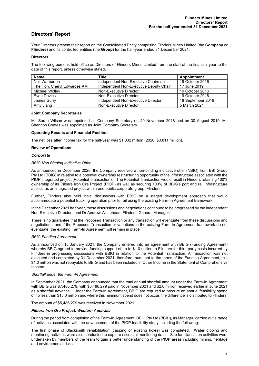### **Directors' Report**

Your Directors present their report on the Consolidated Entity comprising Flinders Mines Limited (the **Company** or **Flinders**) and its controlled entities (the **Group**) for the half-year ended 31 December 2021.

#### **Directors**

The following persons held office as Directors of Flinders Mines Limited from the start of the financial year to the date of this report, unless otherwise stated.

| <b>Name</b>                 | <b>Title</b>                           | Appointment       |
|-----------------------------|----------------------------------------|-------------------|
| Neil Warburton              | Independent Non-Executive Chairman     | 19 October 2016   |
| The Hon. Chervl Edwardes AM | Independent Non-Executive Deputy Chair | 17 June 2019      |
| Michael Wollev              | Non-Executive Director                 | 19 October 2016   |
| Evan Davies                 | Non-Executive Director                 | 19 October 2016   |
| James Gurry                 | Independent Non-Executive Director     | 18 September 2019 |
| Amy Jiang                   | Non-Executive Director                 | 5 March 2021      |

#### **Joint Company Secretaries**

Ms Sarah Wilson was appointed as Company Secretary on 20 November 2018 and on 30 August 2019, Ms Shannon Coates was appointed as Joint Company Secretary.

#### **Operating Results and Financial Position**

The net loss after income tax for the half-year was \$1.002 million (2020: \$0.811 million).

#### **Review of Operations**

#### *Corporate*

#### *BBIG Non Binding Indicative Offer*

As announced in December 2020, the Company received a non-binding indicative offer (NBIO) from BBI Group Pty Ltd (BBIG) in relation to a potential ownership restructuring opportunity of the infrastructure associated with the PIOP integrated project (Potential Transaction). The Potential Transaction would result in Flinders retaining 100% ownership of its Pilbara Iron Ore Project (PIOP) as well as securing 100% of BBIG's port and rail infrastructure assets, as an integrated project within one public corporate group, Flinders.

Further, Flinders also held initial discussions with BBIG on a staged development approach that would accommodate a potential trucking operation prior to rail using the existing Farm-In Agreement framework.

In the December 2021 half year, these discussions and negotiations continued to be progressed by the independent Non-Executive Directors and Dr Andrew Whitehead, Flinders' General Manager.

There is no guarantee that the Proposed Transaction or any transaction will eventuate from these discussions and negotiations, and if the Proposed Transaction or variations to the existing Farm-In Agreement framework do not eventuate, the existing Farm-In Agreement will remain in place.

#### *BBIG Funding Agreement*

As announced on 15 January 2021, the Company entered into an agreement with BBIG (Funding Agreement) whereby BBIG agreed to provide funding support of up to \$1.0 million to Flinders for third party costs incurred by Flinders in progressing discussions with BBIG in relation to the Potential Transaction. A transaction was not executed and completed by 31 December 2021, therefore, pursuant to the terms of the Funding Agreement, this \$1.0 million was not repayable to BBIG and has been included in Other Income in the Statement of Comprehensive Income.

#### *Shortfall under the Farm-In Agreement*

In September 2021, the Company announced that the total annual shortfall amount under the Farm-In Agreement with BBIG was \$7,486,279, with \$5,486,279 paid in November 2021 and \$2.0 million received earlier in June 2021 as a shortfall advance. Under the Farm-In Agreement, BBIG are required to procure an annual feasibility spend of no less than \$15.0 million and where this minimum spend does not occur, the difference is distributed to Flinders.

The amount of \$5,486,279 was received in November 2021.

#### *Pilbara Iron Ore Project, Western Australia*

During the period from completion of the Farm-In Agreement, BBIH Pty Ltd (BBIH), as Manager, carried out a range of activities associated with the advancement of the PIOP feasibility study including the following:

The first phase of Blacksmith rehabilitation (capping of existing holes) was completed. Water dipping and monitoring activities were also conducted to capture essential monitoring data. Site familiarisation activities were undertaken by members of the team to gain a better understanding of the PIOP areas including mining, heritage and environmental risks.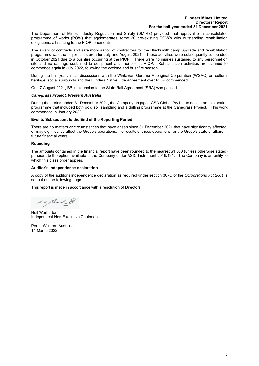The Department of Mines Industry Regulation and Safety (DMIRS) provided final approval of a consolidated programme of works (POW) that agglomerates some 20 pre-existing POW's with outstanding rehabilitation obligations, all relating to the PIOP tenements;

The award of contracts and safe mobilisation of contractors for the Blacksmith camp upgrade and rehabilitation programme was the major focus area for July and August 2021. These activities were subsequently suspended in October 2021 due to a bushfire occurring at the PIOP. There were no injuries sustained to any personnel on site and no damage sustained to equipment and facilities at PIOP. Rehabilitation activities are planned to commence again in July 2022, following the cyclone and bushfire season.

During the half year, initial discussions with the Wintawari Guruma Aboriginal Corporation (WGAC) on cultural heritage, social surrounds and the Flinders Native Title Agreement over PIOP commenced.

On 17 August 2021, BBI's extension to the State Rail Agreement (SRA) was passed.

#### *Canegrass Project, Western Australia*

During the period ended 31 December 2021, the Company engaged CSA Global Pty Ltd to design an exploration programme that included both gold soil sampling and a drilling programme at the Canegrass Project. This work commenced in January 2022.

#### **Events Subsequent to the End of the Reporting Period**

There are no matters or circumstances that have arisen since 31 December 2021 that have significantly affected, or may significantly affect the Group's operations, the results of those operations, or the Group's state of affairs in future financial years.

#### **Rounding**

The amounts contained in the financial report have been rounded to the nearest \$1,000 (unless otherwise stated) pursuant to the option available to the Company under ASIC Instrument 2016/191. The Company is an entity to which this class order applies.

#### **Auditor's independence declaration**

A copy of the auditor's independence declaration as required under section 307C of the *Corporations Act 2001* is set out on the following page.

This report is made in accordance with a resolution of Directors.

d. F. Klerk

Neil Warburton Independent Non-Executive Chairman

Perth, Western Australia 14 March 2022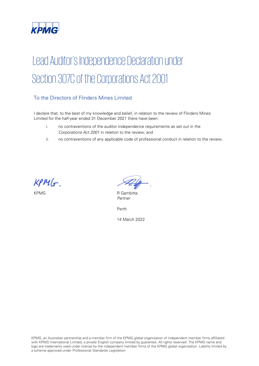

# Lead Auditor's Independence Declaration under Section 307C of the Corporations Act 2001

# To the Directors of Flinders Mines Limited

I declare that, to the best of my knowledge and belief, in relation to the review of Flinders Mines Limited for the half-year ended 31 December 2021 there have been:

- i. no contraventions of the auditor independence requirements as set out in the Corporations Act 2001 in relation to the review; and
- ii. no contraventions of any applicable code of professional conduct in relation to the review.

 $KPMG$ .

KPMG R Gambitta Partner

Perth

14 March 2022

KPMG, an Australian partnership and a member firm of the KPMG global organisation of independent member firms affiliated with KPMG International Limited, a private English company limited by guarantee. All rights reserved. The KPMG name and logo are trademarks used under license by the independent member firms of the KPMG global organisation. Liability limited by a scheme approved under Professional Standards Legislation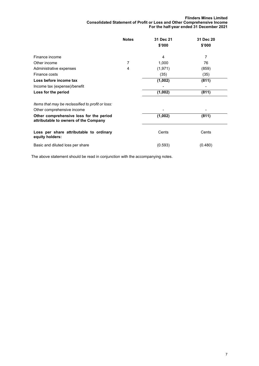#### **Flinders Mines Limited Consolidated Statement of Profit or Loss and Other Comprehensive Income For the half-year ended 31 December 2021**

|                                                                                  | <b>Notes</b> | 31 Dec 21 | 31 Dec 20 |
|----------------------------------------------------------------------------------|--------------|-----------|-----------|
|                                                                                  |              | \$'000    | \$'000    |
| Finance income                                                                   |              | 4         | 7         |
| Other income                                                                     | 7            | 1,000     | 76        |
| Administrative expenses                                                          | 4            | (1, 971)  | (859)     |
| Finance costs                                                                    |              | (35)      | (35)      |
| Loss before income tax                                                           |              | (1,002)   | (811)     |
| Income tax (expense)/benefit                                                     |              |           |           |
| Loss for the period                                                              |              | (1,002)   | (811)     |
| Items that may be reclassified to profit or loss:<br>Other comprehensive income  |              |           |           |
| Other comprehensive loss for the period<br>attributable to owners of the Company |              | (1,002)   | (811)     |
| Loss per share attributable to ordinary<br>equity holders:                       |              | Cents     | Cents     |
| Basic and diluted loss per share                                                 |              | (0.593)   | (0.480)   |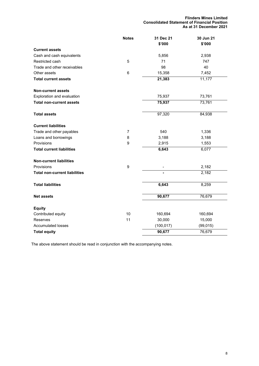**Flinders Mines Limited Consolidated Statement of Financial Position As at 31 December 2021**

|                                      | <b>Notes</b>   | 31 Dec 21  | 30 Jun 21 |
|--------------------------------------|----------------|------------|-----------|
|                                      |                | \$'000     | \$'000    |
| <b>Current assets</b>                |                |            |           |
| Cash and cash equivalents            |                | 5,856      | 2,938     |
| Restricted cash                      | 5              | 71         | 747       |
| Trade and other receivables          |                | 98         | 40        |
| Other assets                         | 6              | 15,358     | 7,452     |
| <b>Total current assets</b>          |                | 21,383     | 11,177    |
| <b>Non-current assets</b>            |                |            |           |
| Exploration and evaluation           |                | 75,937     | 73,761    |
| <b>Total non-current assets</b>      |                | 75,937     | 73,761    |
| <b>Total assets</b>                  |                | 97,320     | 84,938    |
| <b>Current liabilities</b>           |                |            |           |
| Trade and other payables             | $\overline{7}$ | 540        | 1,336     |
| Loans and borrowings                 | 8              | 3,188      | 3,188     |
| Provisions                           | 9              | 2,915      | 1,553     |
| <b>Total current liabilities</b>     |                | 6,643      | 6,077     |
| <b>Non-current liabilities</b>       |                |            |           |
| Provisions                           | 9              |            | 2,182     |
| <b>Total non-current liabilities</b> |                |            | 2,182     |
| <b>Total liabilities</b>             |                | 6,643      | 8,259     |
| <b>Net assets</b>                    |                | 90,677     | 76,679    |
| <b>Equity</b>                        |                |            |           |
| Contributed equity                   | 10             | 160,694    | 160,694   |
| Reserves                             | 11             | 30,000     | 15,000    |
| <b>Accumulated losses</b>            |                | (100, 017) | (99, 015) |
| <b>Total equity</b>                  |                | 90,677     | 76,679    |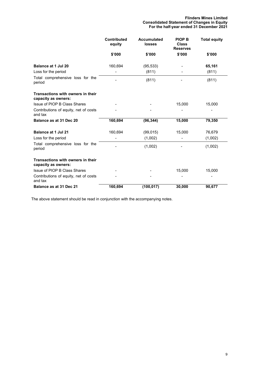|                                                          | <b>Contributed</b><br>equity | <b>Accumulated</b><br><b>losses</b> | <b>PIOP B</b><br><b>Class</b><br><b>Reserves</b> | <b>Total equity</b> |
|----------------------------------------------------------|------------------------------|-------------------------------------|--------------------------------------------------|---------------------|
|                                                          | \$'000                       | \$'000                              | \$'000                                           | \$'000              |
| Balance at 1 Jul 20                                      | 160,694                      | (95, 533)                           |                                                  | 65,161              |
| Loss for the period                                      |                              | (811)                               |                                                  | (811)               |
| Total comprehensive loss for the<br>period               |                              | (811)                               |                                                  | (811)               |
| Transactions with owners in their<br>capacity as owners: |                              |                                     |                                                  |                     |
| Issue of PIOP B Class Shares                             |                              |                                     | 15,000                                           | 15,000              |
| Contributions of equity, net of costs<br>and tax         |                              |                                     |                                                  |                     |
| Balance as at 31 Dec 20                                  | 160,694                      | (96, 344)                           | 15,000                                           | 79,350              |
| <b>Balance at 1 Jul 21</b>                               | 160,694                      | (99, 015)                           | 15,000                                           | 76,679              |
| Loss for the period                                      |                              | (1,002)                             |                                                  | (1,002)             |
| Total comprehensive loss for the<br>period               |                              | (1,002)                             |                                                  | (1,002)             |
| Transactions with owners in their<br>capacity as owners: |                              |                                     |                                                  |                     |
| Issue of PIOP B Class Shares                             |                              |                                     | 15,000                                           | 15,000              |
| Contributions of equity, net of costs<br>and tax         |                              |                                     |                                                  |                     |
| Balance as at 31 Dec 21                                  | 160,694                      | (100, 017)                          | 30,000                                           | 90,677              |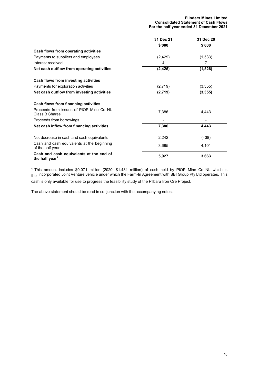|                                                                       | 31 Dec 21 | 31 Dec 20 |
|-----------------------------------------------------------------------|-----------|-----------|
|                                                                       | \$'000    | \$'000    |
| Cash flows from operating activities                                  |           |           |
| Payments to suppliers and employees                                   | (2, 429)  | (1,533)   |
| Interest received                                                     | 4         | 7         |
| Net cash outflow from operating activities                            | (2, 425)  | (1, 526)  |
| Cash flows from investing activities                                  |           |           |
| Payments for exploration activities                                   | (2,719)   | (3,355)   |
| Net cash outflow from investing activities                            | (2,719)   | (3, 355)  |
| Cash flows from financing activities                                  |           |           |
| Proceeds from issues of PIOP Mine Co NL<br>Class B Shares             | 7,386     | 4,443     |
| Proceeds from borrowings                                              |           |           |
| Net cash inflow from financing activities                             | 7,386     | 4,443     |
| Net decrease in cash and cash equivalents                             | 2,242     | (438)     |
| Cash and cash equivalents at the beginning<br>of the half year        | 3,685     | 4,101     |
| Cash and cash equivalents at the end of<br>the half year <sup>1</sup> | 5,927     | 3,663     |

<sup>1</sup> This amount includes \$0.071 million (2020: \$1.481 million) of cash held by PIOP Mine Co NL which is <sub>the</sub> incorporated Joint Venture vehicle under which the Farm-In Agreement with BBI Group Pty Ltd operates. This

cash is only available for use to progress the feasibility study of the Pilbara Iron Ore Project.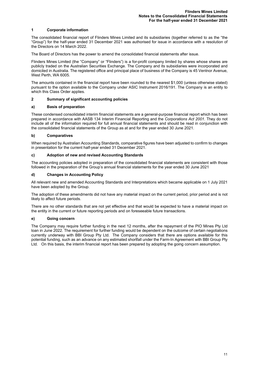#### **1 Corporate information**

The consolidated financial report of Flinders Mines Limited and its subsidiaries (together referred to as the "the "Group") for the half-year ended 31 December 2021 was authorised for issue in accordance with a resolution of the Directors on 14 March 2022.

The Board of Directors has the power to amend the consolidated financial statements after issue.

Flinders Mines Limited (the "Company" or "Flinders") is a for-profit company limited by shares whose shares are publicly traded on the Australian Securities Exchange. The Company and its subsidiaries were incorporated and domiciled in Australia. The registered office and principal place of business of the Company is 45 Ventnor Avenue, West Perth, WA 6005.

The amounts contained in the financial report have been rounded to the nearest \$1,000 (unless otherwise stated) pursuant to the option available to the Company under ASIC Instrument 2016/191. The Company is an entity to which this Class Order applies.

#### **2 Summary of significant accounting policies**

#### **a) Basis of preparation**

These condensed consolidated interim financial statements are a general-purpose financial report which has been prepared in accordance with AASB 134 Interim Financial Reporting and the *Corporations Act 2001*. They do not include all of the information required for full annual financial statements and should be read in conjunction with the consolidated financial statements of the Group as at and for the year ended 30 June 2021.

#### **b) Comparatives**

When required by Australian Accounting Standards, comparative figures have been adjusted to confirm to changes in presentation for the current half-year ended 31 December 2021.

#### **c) Adoption of new and revised Accounting Standards**

The accounting policies adopted in preparation of the consolidated financial statements are consistent with those followed in the preparation of the Group's annual financial statements for the year ended 30 June 2021

#### **d) Changes in Accounting Policy**

All relevant new and amended Accounting Standards and Interpretations which became applicable on 1 July 2021 have been adopted by the Group.

The adoption of these amendments did not have any material impact on the current period, prior period and is not likely to affect future periods.

There are no other standards that are not yet effective and that would be expected to have a material impact on the entity in the current or future reporting periods and on foreseeable future transactions.

#### **e) Going concern**

The Company may require further funding in the next 12 months, after the repayment of the PIO Mines Pty Ltd loan in June 2022. The requirement for further funding would be dependent on the outcome of certain negotiations currently underway with BBI Group Pty Ltd. The Company considers that there are options available for this potential funding, such as an advance on any estimated shortfall under the Farm-In Agreement with BBI Group Pty Ltd. On this basis, the interim financial report has been prepared by adopting the going concern assumption.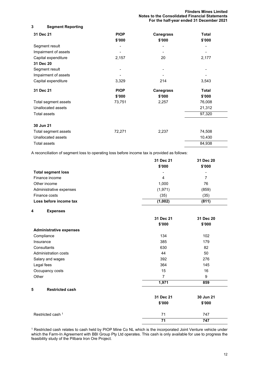#### **3 Segment Reporting**

| 31 Dec 21            | <b>PIOP</b><br>\$'000 | <b>Canegrass</b><br>\$'000 | <b>Total</b><br>\$'000 |
|----------------------|-----------------------|----------------------------|------------------------|
| Segment result       |                       |                            |                        |
| Impairment of assets |                       |                            |                        |
| Capital expenditure  | 2,157                 | 20                         | 2,177                  |
| 31 Dec 20            |                       |                            |                        |
| Segment result       |                       |                            |                        |
| Impairment of assets |                       |                            |                        |
| Capital expenditure  | 3,329                 | 214                        | 3,543                  |
| 31 Dec 21            | <b>PIOP</b>           | <b>Canegrass</b>           | Total                  |
|                      | \$'000                | \$'000                     | \$'000                 |
| Total segment assets | 73,751                | 2,257                      | 76,008                 |
| Unallocated assets   |                       |                            | 21,312                 |
| Total assets         |                       |                            | 97,320                 |
| 30 Jun 21            |                       |                            |                        |
| Total segment assets | 72,271                | 2,237                      | 74,508                 |
| Unallocated assets   |                       |                            | 10,430                 |
| Total assets         |                       |                            | 84,938                 |

A reconciliation of segment loss to operating loss before income tax is provided as follows:

|                           | 31 Dec 21                | 31 Dec 20                |
|---------------------------|--------------------------|--------------------------|
|                           | \$'000                   | \$'000                   |
| <b>Total segment loss</b> | $\overline{\phantom{a}}$ | $\overline{\phantom{a}}$ |
| Finance income            | 4                        | 7                        |
| Other income              | 1.000                    | 76                       |
| Administrative expenses   | (1, 971)                 | (859)                    |
| Finance costs             | (35)                     | (35)                     |
| Loss before income tax    | (1,002)                  | (811)                    |

**4 Expenses**

|                                | 31 Dec 21 | 31 Dec 20 |
|--------------------------------|-----------|-----------|
|                                | \$'000    | \$'000    |
| <b>Administrative expenses</b> |           |           |
| Compliance                     | 134       | 102       |
| Insurance                      | 385       | 179       |
| Consultants                    | 630       | 82        |
| Administration costs           | 44        | 50        |
| Salary and wages               | 392       | 276       |
| Legal fees                     | 364       | 145       |
| Occupancy costs                | 15        | 16        |
| Other                          | 7         | 9         |
|                                | 1,971     | 859       |
| 5<br><b>Restricted cash</b>    |           |           |
|                                | 31 Dec 21 | 30 Jun 21 |
|                                | \$'000    | \$'000    |
| Restricted cash <sup>1</sup>   | 71        | 747       |
|                                | 71        | 747       |

<sup>1</sup> Restricted cash relates to cash held by PIOP Mine Co NL which is the incorporated Joint Venture vehicle under which the Farm-In Agreement with BBI Group Pty Ltd operates. This cash is only available for use to progress the feasibility study of the Pilbara Iron Ore Project.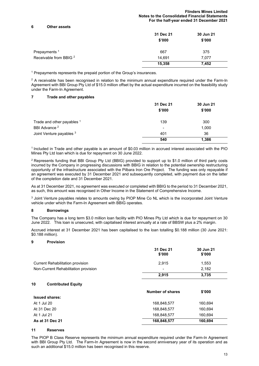#### **Flinders Mines Limited Notes to the Consolidated Financial Statements For the half-year ended 31 December 2021**

#### **6 Other assets**

|                                   | 31 Dec 21<br>\$'000 | 30 Jun 21<br>\$'000 |
|-----------------------------------|---------------------|---------------------|
| Prepayments <sup>1</sup>          | 667                 | 375                 |
| Receivable from BBIG <sup>2</sup> | 14,691              | 7,077               |
|                                   | 15,358              | 7,452               |

<sup>1</sup> Prepayments represents the prepaid portion of the Group's insurances.

 $2$  A receivable has been recognised in relation to the minimum annual expenditure required under the Farm-In Agreement with BBI Group Pty Ltd of \$15.0 million offset by the actual expenditure incurred on the feasibility study under the Farm-In Agreement.

#### **7 Trade and other payables**

|                            | 31 Dec 21<br>\$'000 | 30 Jun 21<br>\$'000 |
|----------------------------|---------------------|---------------------|
| Trade and other payables 1 | 139                 | 300                 |
| BBI Advance <sup>2</sup>   | $\,$                | 1,000               |
| Joint Venture payables 3   | 401                 | 36                  |
|                            | 540                 | 1,386               |

1 Included in Trade and other payable is an amount of \$0.03 million in accrued interest associated with the PIO Mines Pty Ltd loan which is due for repayment on 30 June 2022.

2 Represents funding that BBI Group Pty Ltd (BBIG) provided to support up to \$1.0 million of third party costs incurred by the Company in progressing discussions with BBIG in relation to the potential ownership restructuring opportunity of the infrastructure associated with the Pilbara Iron Ore Project. The funding was only repayable if an agreement was executed by 31 December 2021 and subsequently completed, with payment due on the latter of the completion date and 31 December 2021.

As at 31 December 2021, no agreement was executed or completed with BBIG to the period to 31 December 2021, as such, this amount was recognised in Other Income in the Statement of Comprehensive Income.

<sup>3</sup> Joint Venture payables relates to amounts owing by PIOP Mine Co NL which is the incorporated Joint Venture vehicle under which the Farm-In Agreement with BBIG operates.

#### **8 Borrowings**

The Company has a long term \$3.0 million loan facility with PIO Mines Pty Ltd which is due for repayment on 30 June 2022. This loan is unsecured, with capitalised interest annually at a rate of BBSW plus a 2% margin.

Accrued interest at 31 December 2021 has been capitalised to the loan totalling \$0.188 million (30 June 2021: \$0.188 million).

#### **9 Provision**

|                                         | 31 Dec 21<br>\$'000     | 30 Jun 21<br>\$'000 |
|-----------------------------------------|-------------------------|---------------------|
| <b>Current Rehabilitation provision</b> | 2,915                   | 1,553               |
| Non-Current Rehabilitation provision    |                         | 2,182               |
|                                         | 2,915                   | 3,735               |
| 10<br><b>Contributed Equity</b>         |                         |                     |
|                                         | <b>Number of shares</b> | \$'000              |
| <b>Issued shares:</b>                   |                         |                     |
| At 1 Jul 20                             | 168,848,577             | 160,694             |
| At 31 Dec 20                            | 168,848,577             | 160,694             |
| At 1 Jul 21                             | 168,848,577             | 160,694             |
| As at 31 Dec 21                         | 168,848,577             | 160,694             |

#### **11 Reserves**

The PIOP B Class Reserve represents the minimum annual expenditure required under the Farm-In Agreement with BBI Group Pty Ltd. The Farm-In Agreement is now in the second anniversary year of its operation and as such an additional \$15.0 million has been recognised in this reserve.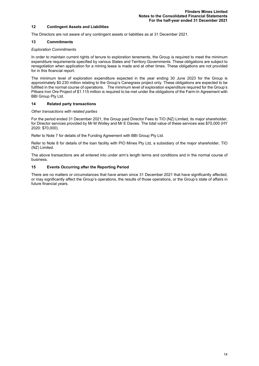#### **12 Contingent Assets and Liabilities**

The Directors are not aware of any contingent assets or liabilities as at 31 December 2021.

#### **13 Commitments**

#### *Exploration Commitments*

In order to maintain current rights of tenure to exploration tenements, the Group is required to meet the minimum expenditure requirements specified by various States and Territory Governments. These obligations are subject to renegotiation when application for a mining lease is made and at other times. These obligations are not provided for in this financial report.

The minimum level of exploration expenditure expected in the year ending 30 June 2023 for the Group is approximately \$0.230 million relating to the Group's Canegrass project only. These obligations are expected to be fulfilled in the normal course of operations. The minimum level of exploration expenditure required for the Group's Pilbara Iron Ore Project of \$1.115 million is required to be met under the obligations of the Farm-In Agreement with BBI Group Pty Ltd.

#### **14 Related party transactions**

#### *Other transactions with related parties*

For the period ended 31 December 2021, the Group paid Director Fees to TIO (NZ) Limited, its major shareholder, for Director services provided by Mr M Wolley and Mr E Davies. The total value of these services was \$70,000 (HY 2020: \$70,000).

Refer to Note 7 for details of the Funding Agreement with BBI Group Pty Ltd.

Refer to Note 8 for details of the loan facility with PIO Mines Pty Ltd, a subsidiary of the major shareholder, TIO (NZ) Limited.

The above transactions are all entered into under arm's length terms and conditions and in the normal course of business.

#### **15 Events Occurring after the Reporting Period**

There are no matters or circumstances that have arisen since 31 December 2021 that have significantly affected, or may significantly affect the Group's operations, the results of those operations, or the Group's state of affairs in future financial years.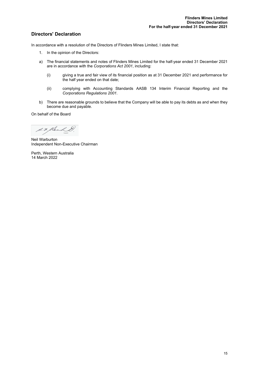### **Directors' Declaration**

In accordance with a resolution of the Directors of Flinders Mines Limited, I state that:

- 1. In the opinion of the Directors:
- a) The financial statements and notes of Flinders Mines Limited for the half-year ended 31 December 2021 are in accordance with the *Corporations Act 2001*, including:
	- (i) giving a true and fair view of its financial position as at 31 December 2021 and performance for the half year ended on that date;
	- (ii) complying with Accounting Standards AASB 134 Interim Financial Reporting and the *Corporations Regulations 2001*.
- b) There are reasonable grounds to believe that the Company will be able to pay its debts as and when they become due and payable.

On behalf of the Board

d. F. Kler

Neil Warburton Independent Non-Executive Chairman

Perth, Western Australia 14 March 2022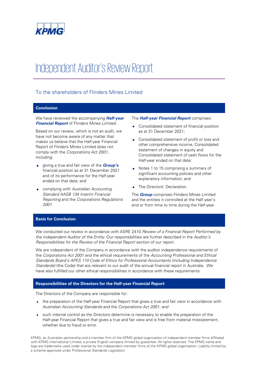

# Independent Auditor's Review Report

# To the shareholders of Flinders Mines Limited

#### **Conclusion**

We have reviewed the accompanying **Half-year Financial Report** of Flinders Mines Limited.

Based on our review, which is not an audit, we have not become aware of any matter that makes us believe that the Half-year Financial Report of Flinders Mines Limited does not comply with the Corporations Act 2001, including:

- giving a true and fair view of the **Group's** financial position as at 31 December 2021 and of its performance for the Half-year ended on that date; and
- complying with Australian Accounting Standard AASB 134 Interim Financial Reporting and the Corporations Regulations 2001.

#### The **Half-year Financial Report** comprises:

- Consolidated statement of financial position as at 31 December 2021;
- Consolidated statement of profit or loss and other comprehensive income, Consolidated statement of changes in equity and Consolidated statement of cash flows for the Half-year ended on that date;
- Notes 1 to 15 comprising a summary of significant accounting policies and other explanatory information; and
- The Directors' Declaration.

The **Group** comprises Flinders Mines Limited and the entities it controlled at the Half year's end or from time to time during the Half-year.

#### **Basis for Conclusion**

We conducted our review in accordance with ASRE 2410 Review of a Financial Report Performed by the Independent Auditor of the Entity. Our responsibilities are further described in the Auditor's Responsibilities for the Review of the Financial Report section of our report.

We are independent of the Company in accordance with the auditor independence requirements of the Corporations Act 2001 and the ethical requirements of the Accounting Professional and Ethical Standards Board's APES 110 Code of Ethics for Professional Accountants (including Independence Standards) (the Code) that are relevant to our audit of the annual financial report in Australia. We have also fulfilled our other ethical responsibilities in accordance with these requirements.

#### **Responsibilities of the Directors for the Half-year Financial Report**

The Directors of the Company are responsible for:

- the preparation of the Half-year Financial Report that gives a true and fair view in accordance with Australian Accounting Standards and the Corporations Act 2001; and
- such internal control as the Directors determine is necessary to enable the preparation of the Half-year Financial Report that gives a true and fair view and is free from material misstatement, whether due to fraud or error.

KPMG, an Australian partnership and a member firm of the KPMG global organisation of independent member firms affiliated with KPMG International Limited, a private English company limited by guarantee. All rights reserved. The KPMG name and logo are trademarks used under license by the independent member firms of the KPMG global organisation. Liability limited by a scheme approved under Professional Standards Legislation